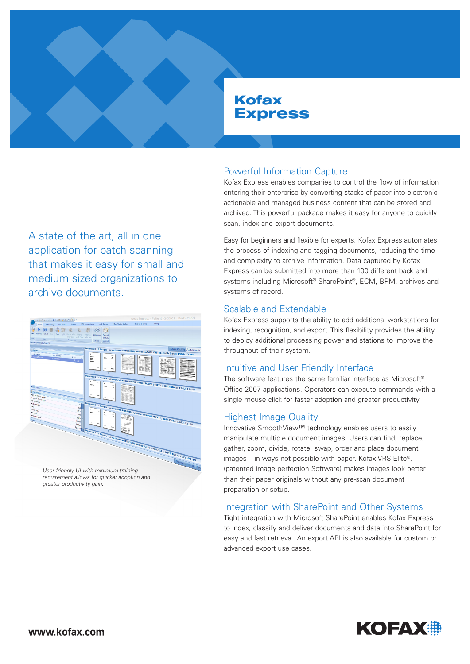# Kofax Express

A state of the art, all in one application for batch scanning that makes it easy for small and medium sized organizations to archive documents.



User friendly UI with minimum training requirement allows for quicker adoption and greater productivity gain.

# Powerful Information Capture

Kofax Express enables companies to control the flow of information entering their enterprise by converting stacks of paper into electronic actionable and managed business content that can be stored and archived. This powerful package makes it easy for anyone to quickly scan, index and export documents.

Easy for beginners and flexible for experts, Kofax Express automates the process of indexing and tagging documents, reducing the time and complexity to archive information. Data captured by Kofax Express can be submitted into more than 100 different back end systems including Microsoft® SharePoint®, ECM, BPM, archives and systems of record.

#### Scalable and Extendable

Kofax Express supports the ability to add additional workstations for indexing, recognition, and export. This flexibility provides the ability to deploy additional processing power and stations to improve the throughput of their system.

# Intuitive and User Friendly Interface

The software features the same familiar interface as Microsoft® Office 2007 applications. Operators can execute commands with a single mouse click for faster adoption and greater productivity.

#### Highest Image Quality

Innovative SmoothView™ technology enables users to easily manipulate multiple document images. Users can find, replace, gather, zoom, divide, rotate, swap, order and place document images – in ways not possible with paper. Kofax VRS Elite®, (patented image perfection Software) makes images look better than their paper originals without any pre-scan document preparation or setup.

# Integration with SharePoint and Other Systems

Tight integration with Microsoft SharePoint enables Kofax Express to index, classify and deliver documents and data into SharePoint for easy and fast retrieval. An export API is also available for custom or advanced export use cases.